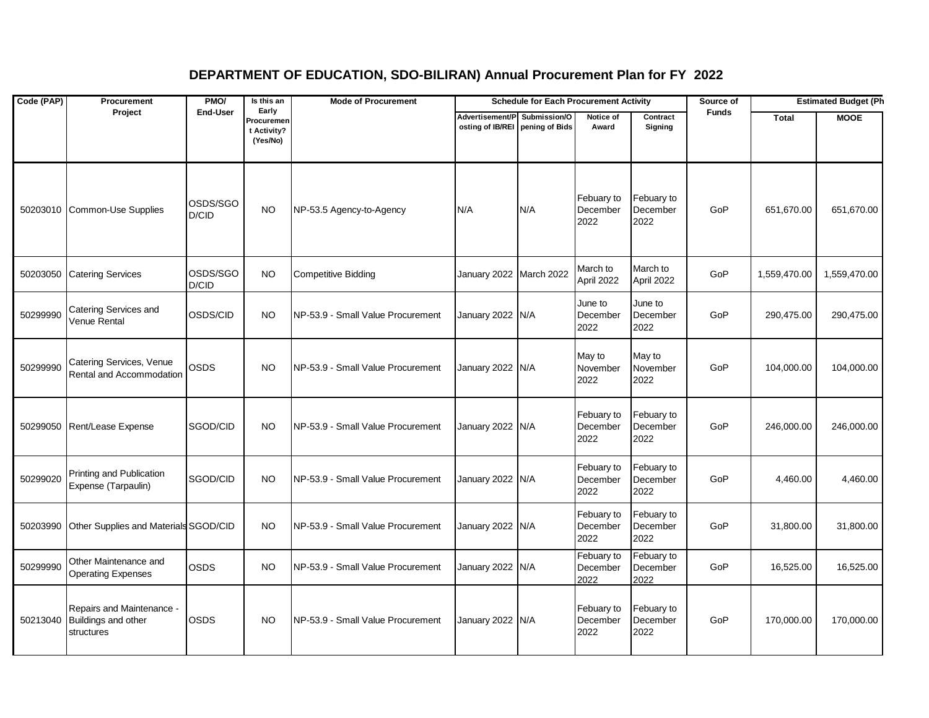## **DEPARTMENT OF EDUCATION, SDO-BILIRAN) Annual Procurement Plan for FY 2022**

| Code (PAP) | Procurement                                                             | PMO/<br>Is this an<br><b>Mode of Procurement</b><br><b>Schedule for Each Procurement Activity</b> |                                                |                                   |                                                                 |     | Source of                      | <b>Estimated Budget (Ph</b>    |              |              |              |
|------------|-------------------------------------------------------------------------|---------------------------------------------------------------------------------------------------|------------------------------------------------|-----------------------------------|-----------------------------------------------------------------|-----|--------------------------------|--------------------------------|--------------|--------------|--------------|
|            | Project                                                                 | <b>End-User</b>                                                                                   | Early<br>Procuremen<br>t Activity?<br>(Yes/No) |                                   | Advertisement/P Submission/O<br>osting of IB/REI pening of Bids |     | Notice of<br>Award             | Contract<br>Signing            | <b>Funds</b> | Total        | <b>MOOE</b>  |
|            | 50203010 Common-Use Supplies                                            | OSDS/SGO<br>D/CID                                                                                 | <b>NO</b>                                      | NP-53.5 Agency-to-Agency          | N/A                                                             | N/A | Febuary to<br>December<br>2022 | Febuary to<br>December<br>2022 | GoP          | 651,670.00   | 651,670.00   |
| 50203050   | <b>Catering Services</b>                                                | OSDS/SGO<br>D/CID                                                                                 | <b>NO</b>                                      | <b>Competitive Bidding</b>        | January 2022 March 2022                                         |     | March to<br>April 2022         | March to<br>April 2022         | GoP          | 1,559,470.00 | 1,559,470.00 |
| 50299990   | Catering Services and<br>Venue Rental                                   | OSDS/CID                                                                                          | <b>NO</b>                                      | NP-53.9 - Small Value Procurement | January 2022 N/A                                                |     | June to<br>December<br>2022    | June to<br>December<br>2022    | GoP          | 290,475.00   | 290,475.00   |
| 50299990   | Catering Services, Venue<br>Rental and Accommodation                    | OSDS                                                                                              | <b>NO</b>                                      | NP-53.9 - Small Value Procurement | January 2022 N/A                                                |     | May to<br>November<br>2022     | May to<br>November<br>2022     | GoP          | 104,000.00   | 104,000.00   |
| 50299050   | Rent/Lease Expense                                                      | SGOD/CID                                                                                          | <b>NO</b>                                      | NP-53.9 - Small Value Procurement | January 2022 N/A                                                |     | Febuary to<br>December<br>2022 | Febuary to<br>December<br>2022 | GoP          | 246,000.00   | 246,000.00   |
| 50299020   | Printing and Publication<br>Expense (Tarpaulin)                         | SGOD/CID                                                                                          | <b>NO</b>                                      | NP-53.9 - Small Value Procurement | January 2022 N/A                                                |     | Febuary to<br>December<br>2022 | Febuary to<br>December<br>2022 | GoP          | 4,460.00     | 4,460.00     |
| 50203990   | Other Supplies and Materials SGOD/CID                                   |                                                                                                   | <b>NO</b>                                      | NP-53.9 - Small Value Procurement | January 2022 N/A                                                |     | Febuary to<br>December<br>2022 | Febuary to<br>December<br>2022 | GoP          | 31,800.00    | 31,800.00    |
| 50299990   | Other Maintenance and<br><b>Operating Expenses</b>                      | OSDS                                                                                              | NO                                             | NP-53.9 - Small Value Procurement | January 2022 N/A                                                |     | Febuary to<br>December<br>2022 | Febuary to<br>December<br>2022 | GoP          | 16,525.00    | 16,525.00    |
|            | Repairs and Maintenance -<br>50213040 Buildings and other<br>structures | <b>OSDS</b>                                                                                       | <b>NO</b>                                      | NP-53.9 - Small Value Procurement | January 2022 N/A                                                |     | Febuary to<br>December<br>2022 | Febuary to<br>December<br>2022 | GoP          | 170,000.00   | 170,000.00   |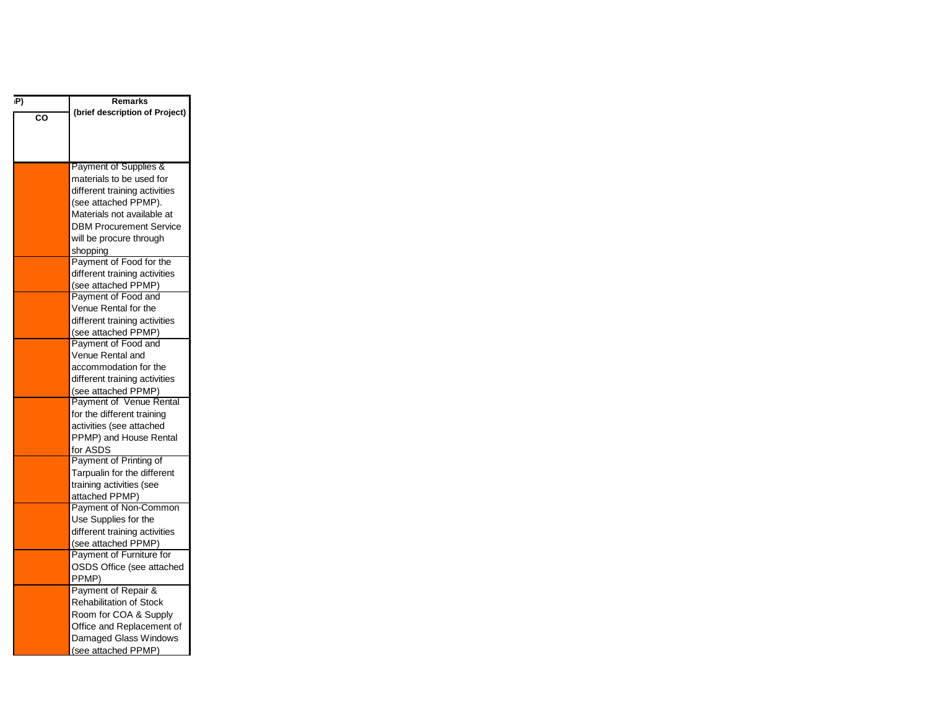| ıP) | <b>Remarks</b>                          |
|-----|-----------------------------------------|
| CO  | (brief description of Project)          |
|     |                                         |
|     |                                         |
|     |                                         |
|     | Payment of Supplies &                   |
|     | materials to be used for                |
|     | different training activities           |
|     | (see attached PPMP).                    |
|     | Materials not available at              |
|     | <b>DBM Procurement Service</b>          |
|     | will be procure through                 |
|     | shopping                                |
|     | Payment of Food for the                 |
|     | different training activities           |
|     | (see attached PPMP)                     |
|     | Payment of Food and                     |
|     | Venue Rental for the                    |
|     | different training activities           |
|     | (see attached PPMP)                     |
|     | Payment of Food and<br>Venue Rental and |
|     | accommodation for the                   |
|     | different training activities           |
|     | (see attached PPMP)                     |
|     | Payment of Venue Rental                 |
|     | for the different training              |
|     | activities (see attached                |
|     | PPMP) and House Rental                  |
|     | for ASDS                                |
|     | Payment of Printing of                  |
|     | Tarpualin for the different             |
|     | training activities (see                |
|     | attached PPMP)                          |
|     | Payment of Non-Common                   |
|     | Use Supplies for the                    |
|     | different training activities           |
|     | (see attached PPMP)                     |
|     | Payment of Furniture for                |
|     | OSDS Office (see attached               |
|     | PPMP)                                   |
|     | Payment of Repair &                     |
|     | <b>Rehabilitation of Stock</b>          |
|     | Room for COA & Supply                   |
|     | Office and Replacement of               |
|     | Damaged Glass Windows                   |
|     | (see attached PPMP)                     |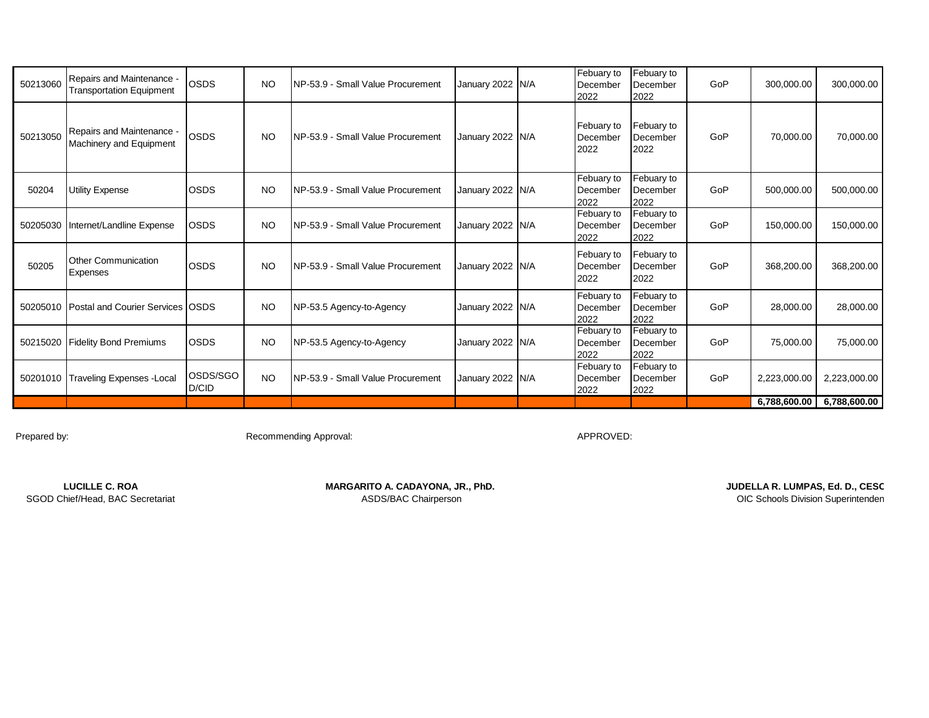| 50213060 | Repairs and Maintenance -<br><b>Transportation Equipment</b> | <b>OSDS</b>       | <b>NO</b> | NP-53.9 - Small Value Procurement | January 2022 N/A | Febuary to<br>December<br>2022 | Febuary to<br>December<br>2022 | GoP | 300,000.00   | 300,000.00   |
|----------|--------------------------------------------------------------|-------------------|-----------|-----------------------------------|------------------|--------------------------------|--------------------------------|-----|--------------|--------------|
| 50213050 | Repairs and Maintenance -<br>Machinery and Equipment         | <b>OSDS</b>       | NO.       | NP-53.9 - Small Value Procurement | January 2022 N/A | Febuary to<br>December<br>2022 | Febuary to<br>December<br>2022 | GoP | 70,000.00    | 70,000.00    |
| 50204    | Utility Expense                                              | <b>OSDS</b>       | <b>NO</b> | NP-53.9 - Small Value Procurement | January 2022 N/A | Febuary to<br>December<br>2022 | Febuary to<br>December<br>2022 | GoP | 500,000.00   | 500,000.00   |
| 50205030 | Internet/Landline Expense                                    | <b>OSDS</b>       | <b>NO</b> | NP-53.9 - Small Value Procurement | January 2022 N/A | Febuary to<br>December<br>2022 | Febuary to<br>December<br>2022 | GoP | 150,000.00   | 150,000.00   |
| 50205    | <b>Other Communication</b><br>Expenses                       | <b>OSDS</b>       | <b>NO</b> | NP-53.9 - Small Value Procurement | January 2022 N/A | Febuary to<br>December<br>2022 | Febuary to<br>December<br>2022 | GoP | 368,200.00   | 368,200.00   |
|          | 50205010 Postal and Courier Services OSDS                    |                   | <b>NO</b> | NP-53.5 Agency-to-Agency          | January 2022 N/A | Febuary to<br>December<br>2022 | Febuary to<br>December<br>2022 | GoP | 28,000.00    | 28,000.00    |
| 50215020 | <b>Fidelity Bond Premiums</b>                                | <b>OSDS</b>       | <b>NO</b> | NP-53.5 Agency-to-Agency          | January 2022 N/A | Febuary to<br>December<br>2022 | Febuary to<br>December<br>2022 | GoP | 75,000.00    | 75,000.00    |
| 50201010 | <b>Traveling Expenses - Local</b>                            | OSDS/SGO<br>D/CID | NO.       | NP-53.9 - Small Value Procurement | January 2022 N/A | Febuary to<br>December<br>2022 | Febuary to<br>December<br>2022 | GoP | 2,223,000.00 | 2,223,000.00 |
|          |                                                              |                   |           |                                   |                  |                                |                                |     | 6,788,600.00 | 6,788,600.00 |

Prepared by: example and the Recommending Approval: APPROVED: APPROVED:

LUCILLE C. ROA **MARGARITO A. CADAYONA, JR., PhD. MARGARITO A. CADAYONA, JR., PHD. JUDELLA R. LUMPAS, Ed. D., CESC**<br>SGOD Chief/Head, BAC Secretariat **MARGARITO A. CADAYONA, JR., PhD.** ASDS/BAC Chairperson **COL** Channel **OIC Schools Division Superintenden**